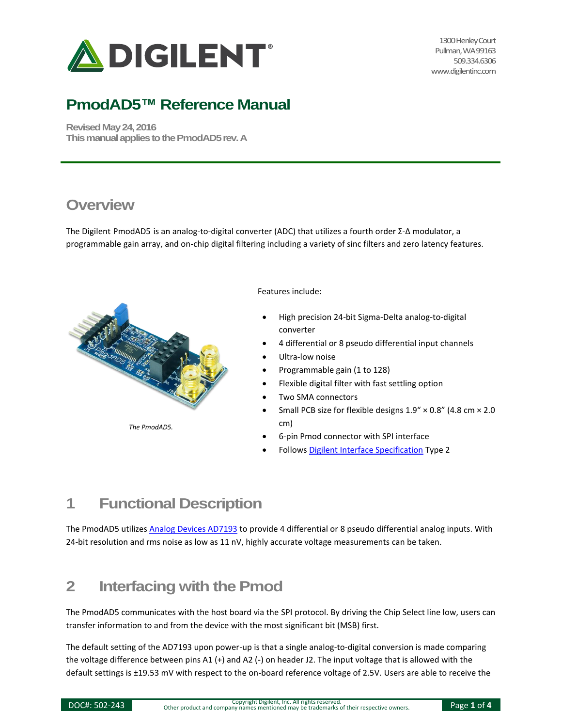

1300 Henley Court Pullman, WA 99163 509.334.6306 www.digilentinc.com

# **PmodAD5™ Reference Manual**

**Revised May 24, 2016 This manual applies to the PmodAD5rev. A**

#### **Overview**

The Digilent PmodAD5 is an analog-to-digital converter (ADC) that utilizes a fourth order Σ-Δ modulator, a programmable gain array, and on-chip digital filtering including a variety of sinc filters and zero latency features.



Features include:

- High precision 24-bit Sigma-Delta analog-to-digital converter
- 4 differential or 8 pseudo differential input channels
- Ultra-low noise
- Programmable gain (1 to 128)
- Flexible digital filter with fast settling option
- Two SMA connectors
- Small PCB size for flexible designs  $1.9'' \times 0.8''$  (4.8 cm  $\times$  2.0 cm)
- 6-pin Pmod connector with SPI interface
- Follows [Digilent Interface Specification](https://www.digilentinc.com/Pmods/Digilent-Pmod_%20Interface_Specification.pdf) Type 2

### **1 Functional Description**

The PmodAD5 utilizes [Analog Devices AD7193](http://www.analog.com/media/en/technical-documentation/data-sheets/AD7193.pdf) to provide 4 differential or 8 pseudo differential analog inputs. With 24-bit resolution and rms noise as low as 11 nV, highly accurate voltage measurements can be taken.

### **2 Interfacing with the Pmod**

The PmodAD5 communicates with the host board via the SPI protocol. By driving the Chip Select line low, users can transfer information to and from the device with the most significant bit (MSB) first.

The default setting of the AD7193 upon power-up is that a single analog-to-digital conversion is made comparing the voltage difference between pins A1 (+) and A2 (-) on header J2. The input voltage that is allowed with the default settings is ±19.53 mV with respect to the on-board reference voltage of 2.5V. Users are able to receive the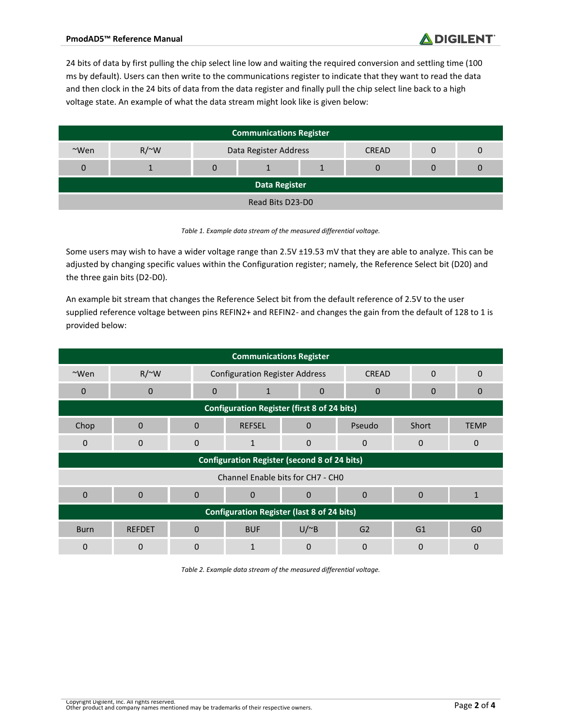24 bits of data by first pulling the chip select line low and waiting the required conversion and settling time (100 ms by default). Users can then write to the communications register to indicate that they want to read the data and then clock in the 24 bits of data from the data register and finally pull the chip select line back to a high voltage state. An example of what the data stream might look like is given below:

| <b>Communications Register</b> |            |                       |  |  |              |  |  |
|--------------------------------|------------|-----------------------|--|--|--------------|--|--|
| $~\sim$ Wen                    | $R/\sim W$ | Data Register Address |  |  | <b>CREAD</b> |  |  |
| $\Omega$                       |            | 0                     |  |  | 0            |  |  |
| <b>Data Register</b>           |            |                       |  |  |              |  |  |
| Read Bits D23-D0               |            |                       |  |  |              |  |  |

*Table 1. Example data stream of the measured differential voltage.*

Some users may wish to have a wider voltage range than 2.5V ±19.53 mV that they are able to analyze. This can be adjusted by changing specific values within the Configuration register; namely, the Reference Select bit (D20) and the three gain bits (D2-D0).

An example bit stream that changes the Reference Select bit from the default reference of 2.5V to the user supplied reference voltage between pins REFIN2+ and REFIN2- and changes the gain from the default of 128 to 1 is provided below:

| <b>Communications Register</b>                      |               |              |                                       |              |                |                          |                |
|-----------------------------------------------------|---------------|--------------|---------------------------------------|--------------|----------------|--------------------------|----------------|
| $~\sim$ Wen                                         | $R/\sim W$    |              | <b>Configuration Register Address</b> |              |                | <b>CREAD</b><br>$\Omega$ | 0              |
| $\mathbf{0}$                                        | $\mathbf 0$   | $\mathbf{0}$ | 1                                     | 0            | $\mathbf 0$    | 0                        | 0              |
| <b>Configuration Register (first 8 of 24 bits)</b>  |               |              |                                       |              |                |                          |                |
| Chop                                                | $\mathbf{0}$  | $\mathbf 0$  | <b>REFSEL</b>                         | $\mathbf{0}$ | Pseudo         | Short                    | <b>TEMP</b>    |
| $\mathbf 0$                                         | 0             | $\mathbf 0$  | 1                                     | 0            | $\mathbf 0$    | 0                        | $\mathbf 0$    |
| <b>Configuration Register (second 8 of 24 bits)</b> |               |              |                                       |              |                |                          |                |
| Channel Enable bits for CH7 - CH0                   |               |              |                                       |              |                |                          |                |
| $\mathbf{0}$                                        | $\Omega$      | $\Omega$     | $\mathbf 0$                           | 0            | $\mathbf{0}$   | $\Omega$                 | $\mathbf{1}$   |
| <b>Configuration Register (last 8 of 24 bits)</b>   |               |              |                                       |              |                |                          |                |
| <b>Burn</b>                                         | <b>REFDET</b> | $\mathbf{0}$ | <b>BUF</b>                            | $U/^{\sim}B$ | G <sub>2</sub> | G <sub>1</sub>           | G <sub>0</sub> |
| $\Omega$                                            | 0             | $\Omega$     |                                       | 0            | $\Omega$       | 0                        | $\Omega$       |

*Table 2. Example data stream of the measured differential voltage.*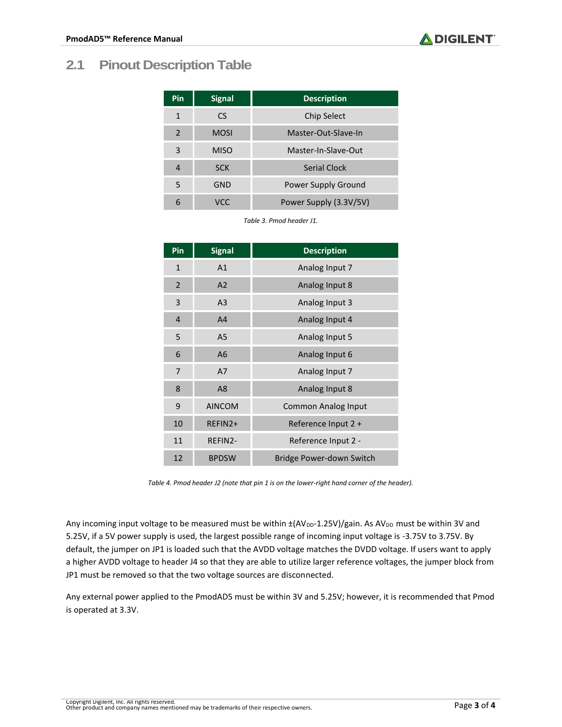| <b>Pin</b>     | <b>Signal</b> | <b>Description</b>     |
|----------------|---------------|------------------------|
| 1              | CS            | Chip Select            |
| $\overline{2}$ | <b>MOSI</b>   | Master-Out-Slave-In    |
| 3              | <b>MISO</b>   | Master-In-Slave-Out    |
| 4              | <b>SCK</b>    | <b>Serial Clock</b>    |
| 5              | GND           | Power Supply Ground    |
| 6              | VCC           | Power Supply (3.3V/5V) |

*Table 3. Pmod header J1.*

| Pin            | <b>Signal</b>  | <b>Description</b>         |
|----------------|----------------|----------------------------|
| $\mathbf{1}$   | A1             | Analog Input 7             |
| $\overline{2}$ | A <sub>2</sub> | Analog Input 8             |
| 3              | A <sub>3</sub> | Analog Input 3             |
| 4              | A <sub>4</sub> | Analog Input 4             |
| 5              | A <sub>5</sub> | Analog Input 5             |
| 6              | A <sub>6</sub> | Analog Input 6             |
| 7              | A7             | Analog Input 7             |
| 8              | A <sub>8</sub> | Analog Input 8             |
| 9              | <b>AINCOM</b>  | <b>Common Analog Input</b> |
| 10             | REFIN2+        | Reference Input 2 +        |
| 11             | REFIN2-        | Reference Input 2 -        |
| 12             | <b>BPDSW</b>   | Bridge Power-down Switch   |

*Table 4. Pmod header J2 (note that pin 1 is on the lower-right hand corner of the header).*

Any incoming input voltage to be measured must be within  $\pm (AV_{DD} - 1.25V)/gain$ . As AV<sub>DD</sub> must be within 3V and 5.25V, if a 5V power supply is used, the largest possible range of incoming input voltage is -3.75V to 3.75V. By default, the jumper on JP1 is loaded such that the AVDD voltage matches the DVDD voltage. If users want to apply a higher AVDD voltage to header J4 so that they are able to utilize larger reference voltages, the jumper block from JP1 must be removed so that the two voltage sources are disconnected.

Any external power applied to the PmodAD5 must be within 3V and 5.25V; however, it is recommended that Pmod is operated at 3.3V.

 $\bigtriangleup$  DIGILENT